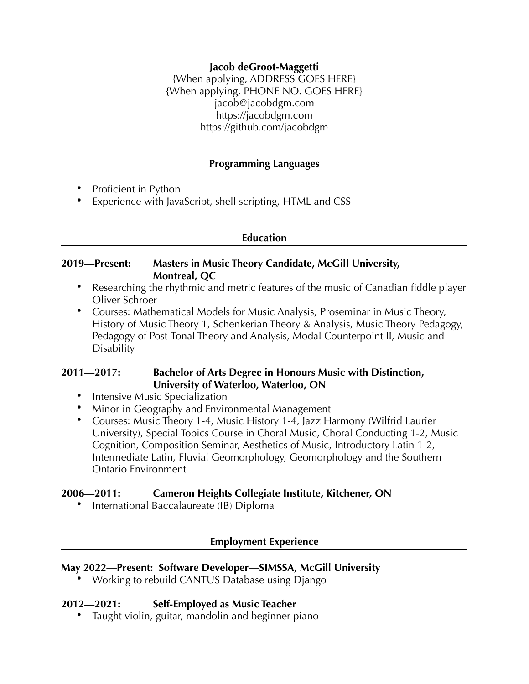## **Jacob deGroot-Maggetti**

{When applying, ADDRESS GOES HERE} {When applying, PHONE NO. GOES HERE} jacob@jacobdgm.com https://jacobdgm.com https://github.com/jacobdgm

#### **Programming Languages**

- Proficient in Python
- Experience with JavaScript, shell scripting, HTML and CSS

#### **Education**

### **2019—Present: Masters in Music Theory Candidate, McGill University, Montreal, QC**

- Researching the rhythmic and metric features of the music of Canadian fiddle player Oliver Schroer
- Courses: Mathematical Models for Music Analysis, Proseminar in Music Theory, History of Music Theory 1, Schenkerian Theory & Analysis, Music Theory Pedagogy, Pedagogy of Post-Tonal Theory and Analysis, Modal Counterpoint II, Music and Disability

# **2011—2017: Bachelor of Arts Degree in Honours Music with Distinction, University of Waterloo, Waterloo, ON**

- Intensive Music Specialization
- Minor in Geography and Environmental Management
- Courses: Music Theory 1-4, Music History 1-4, Jazz Harmony (Wilfrid Laurier University), Special Topics Course in Choral Music, Choral Conducting 1-2, Music Cognition, Composition Seminar, Aesthetics of Music, Introductory Latin 1-2, Intermediate Latin, Fluvial Geomorphology, Geomorphology and the Southern Ontario Environment

#### **2006—2011: Cameron Heights Collegiate Institute, Kitchener, ON**

• International Baccalaureate (IB) Diploma

#### **Employment Experience**

#### **May 2022—Present: Software Developer—SIMSSA, McGill University**

• Working to rebuild CANTUS Database using Django

#### **2012—2021: Self-Employed as Music Teacher**

• Taught violin, guitar, mandolin and beginner piano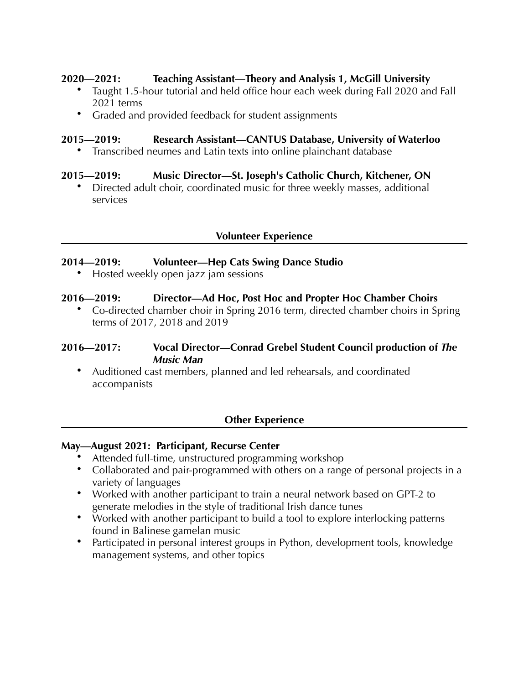## **2020—2021: Teaching Assistant—Theory and Analysis 1, McGill University**

- Taught 1.5-hour tutorial and held office hour each week during Fall 2020 and Fall 2021 terms
- Graded and provided feedback for student assignments

## **2015—2019: Research Assistant—CANTUS Database, University of Waterloo**

• Transcribed neumes and Latin texts into online plainchant database

## **2015—2019: Music Director—St. Joseph's Catholic Church, Kitchener, ON**

• Directed adult choir, coordinated music for three weekly masses, additional services

## **Volunteer Experience**

## **2014—2019: Volunteer—Hep Cats Swing Dance Studio**

• Hosted weekly open jazz jam sessions

## **2016—2019: Director—Ad Hoc, Post Hoc and Propter Hoc Chamber Choirs**

• Co-directed chamber choir in Spring 2016 term, directed chamber choirs in Spring terms of 2017, 2018 and 2019

## **2016—2017: Vocal Director—Conrad Grebel Student Council production of** *The Music Man*

• Auditioned cast members, planned and led rehearsals, and coordinated accompanists

# **Other Experience**

#### **May—August 2021: Participant, Recurse Center**

- Attended full-time, unstructured programming workshop
- Collaborated and pair-programmed with others on a range of personal projects in a variety of languages
- Worked with another participant to train a neural network based on GPT-2 to generate melodies in the style of traditional Irish dance tunes
- Worked with another participant to build a tool to explore interlocking patterns found in Balinese gamelan music
- Participated in personal interest groups in Python, development tools, knowledge management systems, and other topics